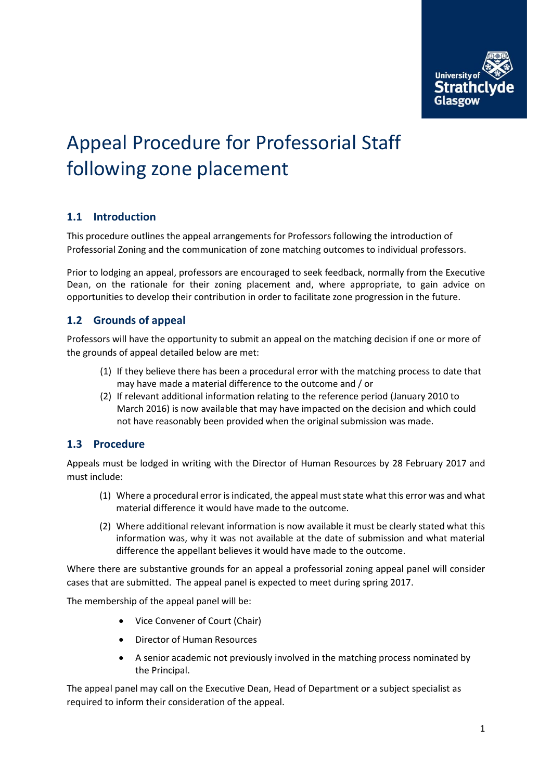

# Appeal Procedure for Professorial Staff following zone placement

## **1.1 Introduction**

This procedure outlines the appeal arrangements for Professors following the introduction of Professorial Zoning and the communication of zone matching outcomes to individual professors.

Prior to lodging an appeal, professors are encouraged to seek feedback, normally from the Executive Dean, on the rationale for their zoning placement and, where appropriate, to gain advice on opportunities to develop their contribution in order to facilitate zone progression in the future.

#### **1.2 Grounds of appeal**

Professors will have the opportunity to submit an appeal on the matching decision if one or more of the grounds of appeal detailed below are met:

- (1) If they believe there has been a procedural error with the matching process to date that may have made a material difference to the outcome and / or
- (2) If relevant additional information relating to the reference period (January 2010 to March 2016) is now available that may have impacted on the decision and which could not have reasonably been provided when the original submission was made.

#### **1.3 Procedure**

Appeals must be lodged in writing with the Director of Human Resources by 28 February 2017 and must include:

- (1) Where a procedural error is indicated, the appeal must state what this error was and what material difference it would have made to the outcome.
- (2) Where additional relevant information is now available it must be clearly stated what this information was, why it was not available at the date of submission and what material difference the appellant believes it would have made to the outcome.

Where there are substantive grounds for an appeal a professorial zoning appeal panel will consider cases that are submitted. The appeal panel is expected to meet during spring 2017.

The membership of the appeal panel will be:

- Vice Convener of Court (Chair)
- Director of Human Resources
- A senior academic not previously involved in the matching process nominated by the Principal.

The appeal panel may call on the Executive Dean, Head of Department or a subject specialist as required to inform their consideration of the appeal.